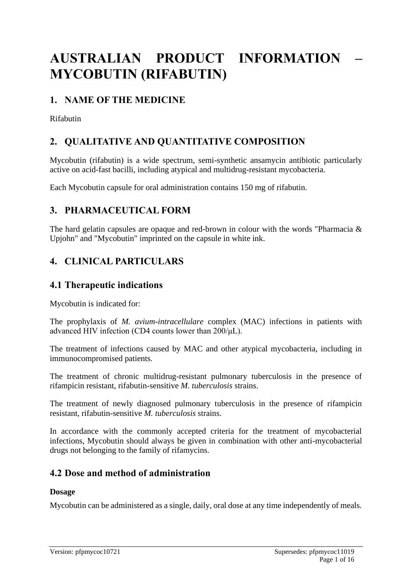# **AUSTRALIAN PRODUCT INFORMATION – MYCOBUTIN (RIFABUTIN)**

### **1. NAME OF THE MEDICINE**

Rifabutin

# **2. QUALITATIVE AND QUANTITATIVE COMPOSITION**

Mycobutin (rifabutin) is a wide spectrum, semi-synthetic ansamycin antibiotic particularly active on acid-fast bacilli, including atypical and multidrug-resistant mycobacteria.

Each Mycobutin capsule for oral administration contains 150 mg of rifabutin.

### **3. PHARMACEUTICAL FORM**

The hard gelatin capsules are opaque and red-brown in colour with the words "Pharmacia & Upjohn" and "Mycobutin" imprinted on the capsule in white ink.

# **4. CLINICAL PARTICULARS**

### **4.1 Therapeutic indications**

Mycobutin is indicated for:

The prophylaxis of *M. avium-intracellulare* complex (MAC) infections in patients with advanced HIV infection (CD4 counts lower than 200/μL).

The treatment of infections caused by MAC and other atypical mycobacteria, including in immunocompromised patients.

The treatment of chronic multidrug-resistant pulmonary tuberculosis in the presence of rifampicin resistant, rifabutin-sensitive *M. tuberculosis* strains.

The treatment of newly diagnosed pulmonary tuberculosis in the presence of rifampicin resistant, rifabutin-sensitive *M. tuberculosis* strains.

In accordance with the commonly accepted criteria for the treatment of mycobacterial infections, Mycobutin should always be given in combination with other anti-mycobacterial drugs not belonging to the family of rifamycins.

### **4.2 Dose and method of administration**

#### **Dosage**

Mycobutin can be administered as a single, daily, oral dose at any time independently of meals.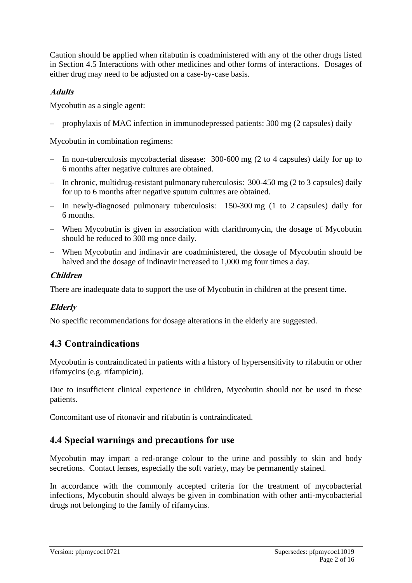Caution should be applied when rifabutin is coadministered with any of the other drugs listed in Section 4.5 Interactions with other medicines and other forms of interactions. Dosages of either drug may need to be adjusted on a case-by-case basis.

#### **Adults**

Mycobutin as a single agent:

‒ prophylaxis of MAC infection in immunodepressed patients: 300 mg (2 capsules) daily

Mycobutin in combination regimens:

- ‒ In non-tuberculosis mycobacterial disease: 300-600 mg (2 to 4 capsules) daily for up to 6 months after negative cultures are obtained.
- ‒ In chronic, multidrug-resistant pulmonary tuberculosis: 300-450 mg (2 to 3 capsules) daily for up to 6 months after negative sputum cultures are obtained.
- ‒ In newly-diagnosed pulmonary tuberculosis: 150-300 mg (1 to 2 capsules) daily for 6 months.
- ‒ When Mycobutin is given in association with clarithromycin, the dosage of Mycobutin should be reduced to 300 mg once daily.
- ‒ When Mycobutin and indinavir are coadministered, the dosage of Mycobutin should be halved and the dosage of indinavir increased to 1,000 mg four times a day.

#### **Children**

There are inadequate data to support the use of Mycobutin in children at the present time.

#### **Elderly**

No specific recommendations for dosage alterations in the elderly are suggested.

# **4.3 Contraindications**

Mycobutin is contraindicated in patients with a history of hypersensitivity to rifabutin or other rifamycins (e.g. rifampicin).

Due to insufficient clinical experience in children, Mycobutin should not be used in these patients.

Concomitant use of ritonavir and rifabutin is contraindicated.

### **4.4 Special warnings and precautions for use**

Mycobutin may impart a red-orange colour to the urine and possibly to skin and body secretions. Contact lenses, especially the soft variety, may be permanently stained.

In accordance with the commonly accepted criteria for the treatment of mycobacterial infections, Mycobutin should always be given in combination with other anti-mycobacterial drugs not belonging to the family of rifamycins.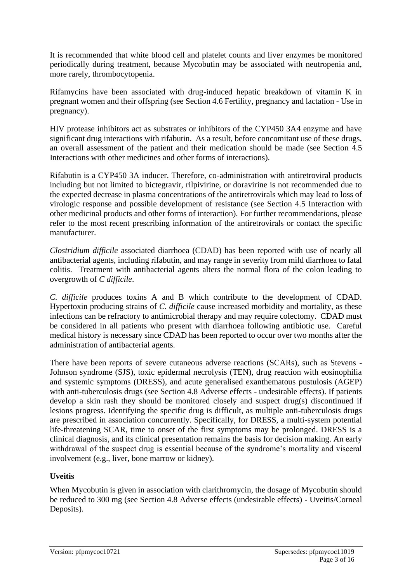It is recommended that white blood cell and platelet counts and liver enzymes be monitored periodically during treatment, because Mycobutin may be associated with neutropenia and, more rarely, thrombocytopenia.

Rifamycins have been associated with drug-induced hepatic breakdown of vitamin K in pregnant women and their offspring (see Section 4.6 Fertility, pregnancy and lactation - Use in pregnancy).

HIV protease inhibitors act as substrates or inhibitors of the CYP450 3A4 enzyme and have significant drug interactions with rifabutin. As a result, before concomitant use of these drugs, an overall assessment of the patient and their medication should be made (see Section 4.5 Interactions with other medicines and other forms of interactions).

Rifabutin is a CYP450 3A inducer. Therefore, co-administration with antiretroviral products including but not limited to bictegravir, rilpivirine, or doravirine is not recommended due to the expected decrease in plasma concentrations of the antiretrovirals which may lead to loss of virologic response and possible development of resistance (see Section 4.5 Interaction with other medicinal products and other forms of interaction). For further recommendations, please refer to the most recent prescribing information of the antiretrovirals or contact the specific manufacturer.

*Clostridium difficile* associated diarrhoea (CDAD) has been reported with use of nearly all antibacterial agents, including rifabutin, and may range in severity from mild diarrhoea to fatal colitis. Treatment with antibacterial agents alters the normal flora of the colon leading to overgrowth of *C difficile*.

*C. difficile* produces toxins A and B which contribute to the development of CDAD. Hypertoxin producing strains of *C. difficile* cause increased morbidity and mortality, as these infections can be refractory to antimicrobial therapy and may require colectomy. CDAD must be considered in all patients who present with diarrhoea following antibiotic use. Careful medical history is necessary since CDAD has been reported to occur over two months after the administration of antibacterial agents.

There have been reports of severe cutaneous adverse reactions (SCARs), such as Stevens - Johnson syndrome (SJS), toxic epidermal necrolysis (TEN), drug reaction with eosinophilia and systemic symptoms (DRESS), and acute generalised exanthematous pustulosis (AGEP) with anti-tuberculosis drugs (see Section 4.8 Adverse effects - undesirable effects). If patients develop a skin rash they should be monitored closely and suspect drug(s) discontinued if lesions progress. Identifying the specific drug is difficult, as multiple anti-tuberculosis drugs are prescribed in association concurrently. Specifically, for DRESS, a multi-system potential life-threatening SCAR, time to onset of the first symptoms may be prolonged. DRESS is a clinical diagnosis, and its clinical presentation remains the basis for decision making. An early withdrawal of the suspect drug is essential because of the syndrome's mortality and visceral involvement (e.g., liver, bone marrow or kidney).

#### **Uveitis**

When Mycobutin is given in association with clarithromycin, the dosage of Mycobutin should be reduced to 300 mg (see Section 4.8 Adverse effects (undesirable effects) - Uveitis/Corneal Deposits).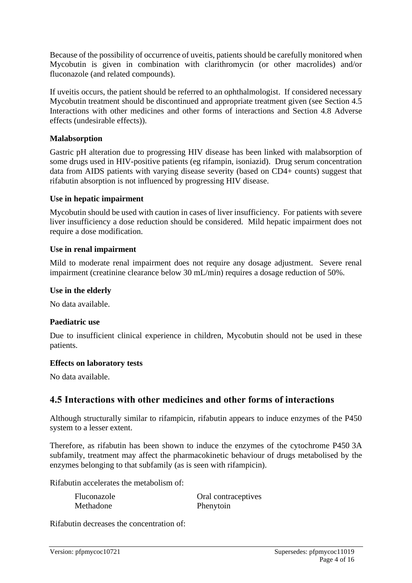Because of the possibility of occurrence of uveitis, patients should be carefully monitored when Mycobutin is given in combination with clarithromycin (or other macrolides) and/or fluconazole (and related compounds).

If uveitis occurs, the patient should be referred to an ophthalmologist. If considered necessary Mycobutin treatment should be discontinued and appropriate treatment given (see Section 4.5 Interactions with other medicines and other forms of interactions and Section 4.8 Adverse effects (undesirable effects)).

#### **Malabsorption**

Gastric pH alteration due to progressing HIV disease has been linked with malabsorption of some drugs used in HIV-positive patients (eg rifampin, isoniazid). Drug serum concentration data from AIDS patients with varying disease severity (based on CD4+ counts) suggest that rifabutin absorption is not influenced by progressing HIV disease.

#### **Use in hepatic impairment**

Mycobutin should be used with caution in cases of liver insufficiency. For patients with severe liver insufficiency a dose reduction should be considered. Mild hepatic impairment does not require a dose modification.

#### **Use in renal impairment**

Mild to moderate renal impairment does not require any dosage adjustment. Severe renal impairment (creatinine clearance below 30 mL/min) requires a dosage reduction of 50%.

#### **Use in the elderly**

No data available.

#### **Paediatric use**

Due to insufficient clinical experience in children, Mycobutin should not be used in these patients.

#### **Effects on laboratory tests**

No data available.

### **4.5 Interactions with other medicines and other forms of interactions**

Although structurally similar to rifampicin, rifabutin appears to induce enzymes of the P450 system to a lesser extent.

Therefore, as rifabutin has been shown to induce the enzymes of the cytochrome P450 3A subfamily, treatment may affect the pharmacokinetic behaviour of drugs metabolised by the enzymes belonging to that subfamily (as is seen with rifampicin).

Rifabutin accelerates the metabolism of:

Methadone Phenytoin

Fluconazole **Oral contraceptives** 

Rifabutin decreases the concentration of: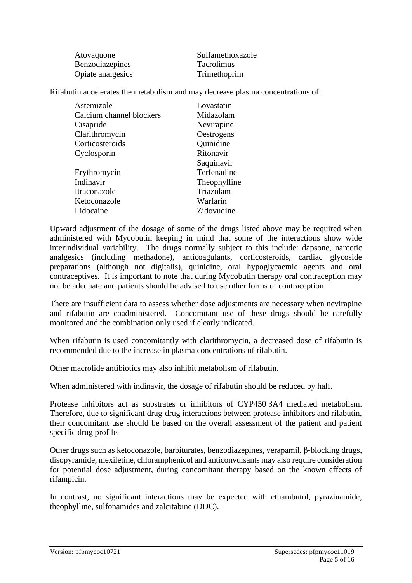| Atovaquone        | Sulfamethoxazole  |
|-------------------|-------------------|
| Benzodiazepines   | <b>Tacrolimus</b> |
| Opiate analgesics | Trimethoprim      |

Rifabutin accelerates the metabolism and may decrease plasma concentrations of:

| Astemizole               | Lovastatin   |
|--------------------------|--------------|
| Calcium channel blockers | Midazolam    |
| Cisapride                | Nevirapine   |
| Clarithromycin           | Oestrogens   |
| Corticosteroids          | Quinidine    |
| Cyclosporin              | Ritonavir    |
|                          | Saquinavir   |
| Erythromycin             | Terfenadine  |
| Indinavir                | Theophylline |
| Itraconazole             | Triazolam    |
| Ketoconazole             | Warfarin     |
| Lidocaine                | Zidovudine   |

Upward adjustment of the dosage of some of the drugs listed above may be required when administered with Mycobutin keeping in mind that some of the interactions show wide interindividual variability. The drugs normally subject to this include: dapsone, narcotic analgesics (including methadone), anticoagulants, corticosteroids, cardiac glycoside preparations (although not digitalis), quinidine, oral hypoglycaemic agents and oral contraceptives. It is important to note that during Mycobutin therapy oral contraception may not be adequate and patients should be advised to use other forms of contraception.

There are insufficient data to assess whether dose adjustments are necessary when nevirapine and rifabutin are coadministered. Concomitant use of these drugs should be carefully monitored and the combination only used if clearly indicated.

When rifabutin is used concomitantly with clarithromycin, a decreased dose of rifabutin is recommended due to the increase in plasma concentrations of rifabutin.

Other macrolide antibiotics may also inhibit metabolism of rifabutin.

When administered with indinavir, the dosage of rifabutin should be reduced by half.

Protease inhibitors act as substrates or inhibitors of CYP450 3A4 mediated metabolism. Therefore, due to significant drug-drug interactions between protease inhibitors and rifabutin, their concomitant use should be based on the overall assessment of the patient and patient specific drug profile.

Other drugs such as ketoconazole, barbiturates, benzodiazepines, verapamil, β-blocking drugs, disopyramide, mexiletine, chloramphenicol and anticonvulsants may also require consideration for potential dose adjustment, during concomitant therapy based on the known effects of rifampicin.

In contrast, no significant interactions may be expected with ethambutol, pyrazinamide, theophylline, sulfonamides and zalcitabine (DDC).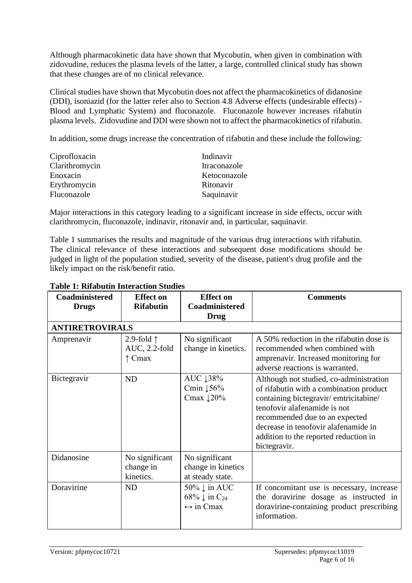Although pharmacokinetic data have shown that Mycobutin, when given in combination with zidovudine, reduces the plasma levels of the latter, a large, controlled clinical study has shown that these changes are of no clinical relevance.

Clinical studies have shown that Mycobutin does not affect the pharmacokinetics of didanosine (DDI), isoniazid (for the latter refer also to Section 4.8 Adverse effects (undesirable effects) - Blood and Lymphatic System) and fluconazole. Fluconazole however increases rifabutin plasma levels. Zidovudine and DDI were shown not to affect the pharmacokinetics of rifabutin.

In addition, some drugs increase the concentration of rifabutin and these include the following:

| Ciprofloxacin  | Indinavir    |
|----------------|--------------|
| Clarithromycin | Itraconazole |
| Enoxacin       | Ketoconazole |
| Erythromycin   | Ritonavir    |
| Fluconazole    | Saquinavir   |

Major interactions in this category leading to a significant increase in side effects, occur with clarithromycin, fluconazole, indinavir, ritonavir and, in particular, saquinavir.

Table 1 summarises the results and magnitude of the various drug interactions with rifabutin. The clinical relevance of these interactions and subsequent dose modifications should be judged in light of the population studied, severity of the disease, patient's drug profile and the likely impact on the risk/benefit ratio.

| Coadministered<br><b>Drugs</b> | <b>Effect</b> on<br><b>Rifabutin</b>                    | <b>Effect</b> on<br>Coadministered                                               | <b>Comments</b>                                                                                                                                                                                                                                                                                |
|--------------------------------|---------------------------------------------------------|----------------------------------------------------------------------------------|------------------------------------------------------------------------------------------------------------------------------------------------------------------------------------------------------------------------------------------------------------------------------------------------|
|                                |                                                         | <b>Drug</b>                                                                      |                                                                                                                                                                                                                                                                                                |
| <b>ANTIRETROVIRALS</b>         |                                                         |                                                                                  |                                                                                                                                                                                                                                                                                                |
| Amprenavir                     | 2.9-fold $\uparrow$<br>AUC, 2.2-fold<br>$\uparrow$ Cmax | No significant<br>change in kinetics.                                            | A 50% reduction in the rifabutin dose is<br>recommended when combined with<br>amprenavir. Increased monitoring for<br>adverse reactions is warranted.                                                                                                                                          |
| Bictegravir                    | <b>ND</b>                                               | AUC 138%<br>Cmin $156%$<br>Cmax $120%$                                           | Although not studied, co-administration<br>of rifabutin with a combination product<br>containing bictegravir/emtricitabine/<br>tenofovir alafenamide is not<br>recommended due to an expected<br>decrease in tenofovir alafenamide in<br>addition to the reported reduction in<br>bictegravir. |
| Didanosine                     | No significant<br>change in<br>kinetics.                | No significant<br>change in kinetics<br>at steady state.                         |                                                                                                                                                                                                                                                                                                |
| Doravirine                     | <b>ND</b>                                               | 50% ↓ in AUC<br>68% $\downarrow$ in C <sub>24</sub><br>$\leftrightarrow$ in Cmax | If concomitant use is necessary, increase<br>the doravirine dosage as instructed in<br>doravirine-containing product prescribing<br>information.                                                                                                                                               |

#### **Table 1: Rifabutin Interaction Studies**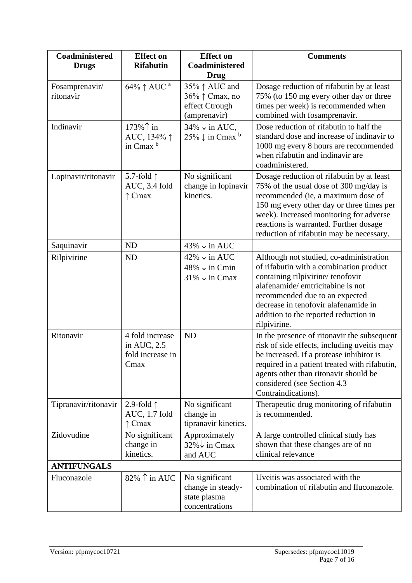| Coadministered<br><b>Drugs</b> | <b>Effect on</b><br><b>Rifabutin</b>                       | <b>Effect</b> on<br>Coadministered                                                 | <b>Comments</b>                                                                                                                                                                                                                                                                                         |
|--------------------------------|------------------------------------------------------------|------------------------------------------------------------------------------------|---------------------------------------------------------------------------------------------------------------------------------------------------------------------------------------------------------------------------------------------------------------------------------------------------------|
| Fosamprenavir/<br>ritonavir    | 64% ↑ AUC <sup>a</sup>                                     | Drug<br>35%↑ AUC and<br>36% ↑ Cmax, no<br>effect Ctrough                           | Dosage reduction of rifabutin by at least<br>75% (to 150 mg every other day or three<br>times per week) is recommended when                                                                                                                                                                             |
|                                |                                                            | (amprenavir)                                                                       | combined with fosamprenavir.                                                                                                                                                                                                                                                                            |
| Indinavir                      | 173%↑ in<br>AUC, 134% 1<br>in Cmax <sup>b</sup>            | $34\% \downarrow$ in AUC,<br>$25\% \downarrow$ in Cmax b                           | Dose reduction of rifabutin to half the<br>standard dose and increase of indinavir to<br>1000 mg every 8 hours are recommended<br>when rifabutin and indinavir are<br>coadministered.                                                                                                                   |
| Lopinavir/ritonavir            | 5.7-fold $\uparrow$<br>AUC, 3.4 fold<br>$\uparrow$ Cmax    | No significant<br>change in lopinavir<br>kinetics.                                 | Dosage reduction of rifabutin by at least<br>75% of the usual dose of 300 mg/day is<br>recommended (ie, a maximum dose of<br>150 mg every other day or three times per<br>week). Increased monitoring for adverse<br>reactions is warranted. Further dosage<br>reduction of rifabutin may be necessary. |
| Saquinavir                     | <b>ND</b>                                                  | $43\% \downarrow$ in AUC                                                           |                                                                                                                                                                                                                                                                                                         |
| Rilpivirine                    | <b>ND</b>                                                  | $42\% \downarrow$ in AUC<br>$48\% \downarrow$ in Cmin<br>$31\% \downarrow$ in Cmax | Although not studied, co-administration<br>of rifabutin with a combination product<br>containing rilpivirine/tenofovir<br>alafenamide/emtricitabine is not<br>recommended due to an expected<br>decrease in tenofovir alafenamide in<br>addition to the reported reduction in<br>rilpivirine.           |
| Ritonavir                      | 4 fold increase<br>in AUC, 2.5<br>fold increase in<br>Cmax | <b>ND</b>                                                                          | In the presence of ritonavir the subsequent<br>risk of side effects, including uveitis may<br>be increased. If a protease inhibitor is<br>required in a patient treated with rifabutin,<br>agents other than ritonavir should be<br>considered (see Section 4.3<br>Contraindications).                  |
| Tipranavir/ritonavir           | 2.9-fold $\uparrow$<br>AUC, 1.7 fold<br>$\uparrow$ Cmax    | No significant<br>change in<br>tipranavir kinetics.                                | Therapeutic drug monitoring of rifabutin<br>is recommended.                                                                                                                                                                                                                                             |
| Zidovudine                     | No significant<br>change in<br>kinetics.                   | Approximately<br>$32\% \downarrow$ in Cmax<br>and AUC                              | A large controlled clinical study has<br>shown that these changes are of no<br>clinical relevance                                                                                                                                                                                                       |
| <b>ANTIFUNGALS</b>             |                                                            |                                                                                    |                                                                                                                                                                                                                                                                                                         |
| Fluconazole                    | 82% $\uparrow$ in AUC                                      | No significant<br>change in steady-<br>state plasma<br>concentrations              | Uveitis was associated with the<br>combination of rifabutin and fluconazole.                                                                                                                                                                                                                            |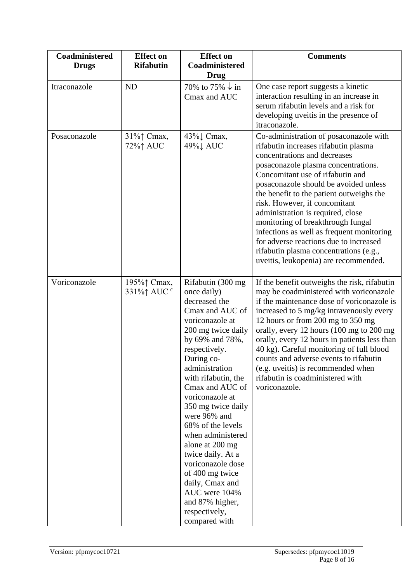| Coadministered<br><b>Drugs</b> | <b>Effect on</b><br><b>Rifabutin</b> | <b>Effect on</b><br>Coadministered<br><b>Drug</b>                                                                                                                                                                                                                                                                                                                                                                                                                                                       | <b>Comments</b>                                                                                                                                                                                                                                                                                                                                                                                                                                                                                                                                                     |
|--------------------------------|--------------------------------------|---------------------------------------------------------------------------------------------------------------------------------------------------------------------------------------------------------------------------------------------------------------------------------------------------------------------------------------------------------------------------------------------------------------------------------------------------------------------------------------------------------|---------------------------------------------------------------------------------------------------------------------------------------------------------------------------------------------------------------------------------------------------------------------------------------------------------------------------------------------------------------------------------------------------------------------------------------------------------------------------------------------------------------------------------------------------------------------|
| Itraconazole                   | <b>ND</b>                            | 70% to 75% $\downarrow$ in<br>Cmax and AUC                                                                                                                                                                                                                                                                                                                                                                                                                                                              | One case report suggests a kinetic<br>interaction resulting in an increase in<br>serum rifabutin levels and a risk for<br>developing uveitis in the presence of<br>itraconazole.                                                                                                                                                                                                                                                                                                                                                                                    |
| Posaconazole                   | 31%† Cmax,<br>72%↑ AUC               | 43%↓ Cmax,<br>49%↓ AUC                                                                                                                                                                                                                                                                                                                                                                                                                                                                                  | Co-administration of posaconazole with<br>rifabutin increases rifabutin plasma<br>concentrations and decreases<br>posaconazole plasma concentrations.<br>Concomitant use of rifabutin and<br>posaconazole should be avoided unless<br>the benefit to the patient outweighs the<br>risk. However, if concomitant<br>administration is required, close<br>monitoring of breakthrough fungal<br>infections as well as frequent monitoring<br>for adverse reactions due to increased<br>rifabutin plasma concentrations (e.g.,<br>uveitis, leukopenia) are recommended. |
| Voriconazole                   | 195%† Cmax,<br>331%↑ AUC °           | Rifabutin (300 mg<br>once daily)<br>decreased the<br>Cmax and AUC of<br>voriconazole at<br>200 mg twice daily<br>by 69% and 78%,<br>respectively.<br>During co-<br>administration<br>with rifabutin, the<br>Cmax and AUC of<br>voriconazole at<br>350 mg twice daily<br>were 96% and<br>68% of the levels<br>when administered<br>alone at 200 mg<br>twice daily. At a<br>voriconazole dose<br>of 400 mg twice<br>daily, Cmax and<br>AUC were 104%<br>and 87% higher,<br>respectively,<br>compared with | If the benefit outweighs the risk, rifabutin<br>may be coadministered with voriconazole<br>if the maintenance dose of voriconazole is<br>increased to 5 mg/kg intravenously every<br>12 hours or from 200 mg to 350 mg<br>orally, every 12 hours (100 mg to 200 mg<br>orally, every 12 hours in patients less than<br>40 kg). Careful monitoring of full blood<br>counts and adverse events to rifabutin<br>(e.g. uveitis) is recommended when<br>rifabutin is coadministered with<br>voriconazole.                                                                 |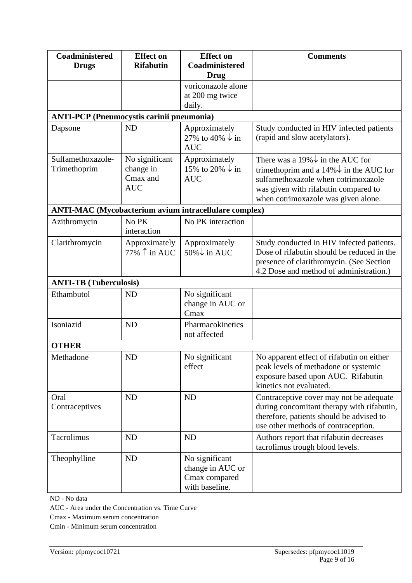| <b>Coadministered</b><br><b>Drugs</b>            | <b>Effect on</b><br><b>Rifabutin</b>                  | <b>Effect on</b><br>Coadministered<br><b>Drug</b>                     | <b>Comments</b>                                                                                                                                                                                                          |
|--------------------------------------------------|-------------------------------------------------------|-----------------------------------------------------------------------|--------------------------------------------------------------------------------------------------------------------------------------------------------------------------------------------------------------------------|
|                                                  |                                                       | voriconazole alone<br>at 200 mg twice<br>daily.                       |                                                                                                                                                                                                                          |
| <b>ANTI-PCP</b> (Pneumocystis carinii pneumonia) |                                                       |                                                                       |                                                                                                                                                                                                                          |
| Dapsone                                          | <b>ND</b>                                             | Approximately<br>27% to 40% $\downarrow$ in<br><b>AUC</b>             | Study conducted in HIV infected patients<br>(rapid and slow acetylators).                                                                                                                                                |
| Sulfamethoxazole-<br>Trimethoprim                | No significant<br>change in<br>Cmax and<br><b>AUC</b> | Approximately<br>15% to 20% $\downarrow$ in<br><b>AUC</b>             | There was a 19% $\downarrow$ in the AUC for<br>trimethoprim and a $14\% \downarrow$ in the AUC for<br>sulfamethoxazole when cotrimoxazole<br>was given with rifabutin compared to<br>when cotrimoxazole was given alone. |
|                                                  |                                                       | <b>ANTI-MAC</b> (Mycobacterium avium intracellulare complex)          |                                                                                                                                                                                                                          |
| Azithromycin                                     | No PK<br>interaction                                  | No PK interaction                                                     |                                                                                                                                                                                                                          |
| Clarithromycin                                   | Approximately<br>77% $\uparrow$ in AUC                | Approximately<br>50%↓ in AUC                                          | Study conducted in HIV infected patients.<br>Dose of rifabutin should be reduced in the<br>presence of clarithromycin. (See Section<br>4.2 Dose and method of administration.)                                           |
| <b>ANTI-TB</b> (Tuberculosis)                    |                                                       |                                                                       |                                                                                                                                                                                                                          |
| Ethambutol                                       | <b>ND</b>                                             | No significant<br>change in AUC or<br>Cmax                            |                                                                                                                                                                                                                          |
| Isoniazid                                        | <b>ND</b>                                             | Pharmacokinetics<br>not affected                                      |                                                                                                                                                                                                                          |
| <b>OTHER</b>                                     |                                                       |                                                                       |                                                                                                                                                                                                                          |
| Methadone                                        | ND                                                    | No significant<br>effect                                              | No apparent effect of rifabutin on either<br>peak levels of methadone or systemic<br>exposure based upon AUC. Rifabutin<br>kinetics not evaluated.                                                                       |
| Oral<br>Contraceptives                           | <b>ND</b>                                             | <b>ND</b>                                                             | Contraceptive cover may not be adequate<br>during concomitant therapy with rifabutin,<br>therefore, patients should be advised to<br>use other methods of contraception.                                                 |
| Tacrolimus                                       | ND                                                    | <b>ND</b>                                                             | Authors report that rifabutin decreases<br>tacrolimus trough blood levels.                                                                                                                                               |
| Theophylline                                     | <b>ND</b>                                             | No significant<br>change in AUC or<br>Cmax compared<br>with baseline. |                                                                                                                                                                                                                          |

ND - No data

AUC - Area under the Concentration vs. Time Curve

Cmax - Maximum serum concentration

Cmin - Minimum serum concentration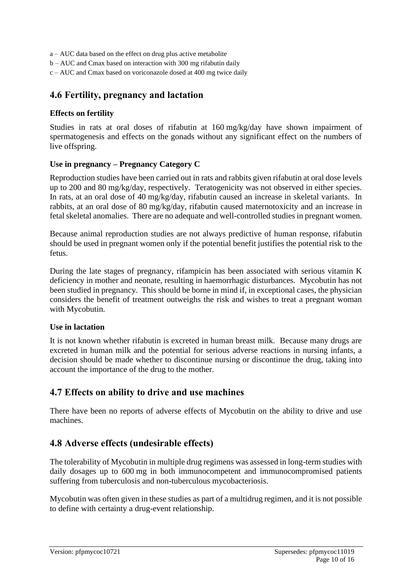a – AUC data based on the effect on drug plus active metabolite

- b AUC and Cmax based on interaction with 300 mg rifabutin daily
- c AUC and Cmax based on voriconazole dosed at 400 mg twice daily

#### **4.6 Fertility, pregnancy and lactation**

#### **Effects on fertility**

Studies in rats at oral doses of rifabutin at 160 mg/kg/day have shown impairment of spermatogenesis and effects on the gonads without any significant effect on the numbers of live offspring.

#### **Use in pregnancy – Pregnancy Category C**

Reproduction studies have been carried out in rats and rabbits given rifabutin at oral dose levels up to 200 and 80 mg/kg/day, respectively. Teratogenicity was not observed in either species. In rats, at an oral dose of 40 mg/kg/day, rifabutin caused an increase in skeletal variants. In rabbits, at an oral dose of 80 mg/kg/day, rifabutin caused maternotoxicity and an increase in fetal skeletal anomalies. There are no adequate and well-controlled studies in pregnant women.

Because animal reproduction studies are not always predictive of human response, rifabutin should be used in pregnant women only if the potential benefit justifies the potential risk to the fetus.

During the late stages of pregnancy, rifampicin has been associated with serious vitamin K deficiency in mother and neonate, resulting in haemorrhagic disturbances. Mycobutin has not been studied in pregnancy. This should be borne in mind if, in exceptional cases, the physician considers the benefit of treatment outweighs the risk and wishes to treat a pregnant woman with Mycobutin.

#### **Use in lactation**

It is not known whether rifabutin is excreted in human breast milk. Because many drugs are excreted in human milk and the potential for serious adverse reactions in nursing infants, a decision should be made whether to discontinue nursing or discontinue the drug, taking into account the importance of the drug to the mother.

#### **4.7 Effects on ability to drive and use machines**

There have been no reports of adverse effects of Mycobutin on the ability to drive and use machines.

### **4.8 Adverse effects (undesirable effects)**

The tolerability of Mycobutin in multiple drug regimens was assessed in long-term studies with daily dosages up to 600 mg in both immunocompetent and immunocompromised patients suffering from tuberculosis and non-tuberculous mycobacteriosis.

Mycobutin was often given in these studies as part of a multidrug regimen, and it is not possible to define with certainty a drug-event relationship.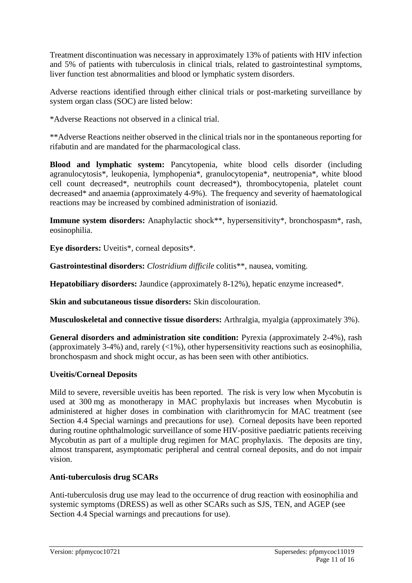Treatment discontinuation was necessary in approximately 13% of patients with HIV infection and 5% of patients with tuberculosis in clinical trials, related to gastrointestinal symptoms, liver function test abnormalities and blood or lymphatic system disorders.

Adverse reactions identified through either clinical trials or post-marketing surveillance by system organ class (SOC) are listed below:

\*Adverse Reactions not observed in a clinical trial.

\*\*Adverse Reactions neither observed in the clinical trials nor in the spontaneous reporting for rifabutin and are mandated for the pharmacological class.

**Blood and lymphatic system:** Pancytopenia, white blood cells disorder (including agranulocytosis\*, leukopenia, lymphopenia\*, granulocytopenia\*, neutropenia\*, white blood cell count decreased\*, neutrophils count decreased\*), thrombocytopenia, platelet count decreased\* and anaemia (approximately 4-9%). The frequency and severity of haematological reactions may be increased by combined administration of isoniazid.

**Immune system disorders:** Anaphylactic shock\*\*, hypersensitivity\*, bronchospasm\*, rash, eosinophilia.

**Eye disorders:** Uveitis\*, corneal deposits\*.

**Gastrointestinal disorders:** *Clostridium difficile* colitis\*\*, nausea, vomiting.

**Hepatobiliary disorders:** Jaundice (approximately 8-12%), hepatic enzyme increased\*.

**Skin and subcutaneous tissue disorders:** Skin discolouration.

**Musculoskeletal and connective tissue disorders:** Arthralgia, myalgia (approximately 3%).

**General disorders and administration site condition:** Pyrexia (approximately 2-4%), rash (approximately 3-4%) and, rarely  $\langle$  ( $\langle$ 1%), other hypersensitivity reactions such as eosinophilia, bronchospasm and shock might occur, as has been seen with other antibiotics.

#### **Uveitis/Corneal Deposits**

Mild to severe, reversible uveitis has been reported. The risk is very low when Mycobutin is used at 300 mg as monotherapy in MAC prophylaxis but increases when Mycobutin is administered at higher doses in combination with clarithromycin for MAC treatment (see Section 4.4 Special warnings and precautions for use). Corneal deposits have been reported during routine ophthalmologic surveillance of some HIV-positive paediatric patients receiving Mycobutin as part of a multiple drug regimen for MAC prophylaxis. The deposits are tiny, almost transparent, asymptomatic peripheral and central corneal deposits, and do not impair vision.

#### **Anti-tuberculosis drug SCARs**

Anti-tuberculosis drug use may lead to the occurrence of drug reaction with eosinophilia and systemic symptoms (DRESS) as well as other SCARs such as SJS, TEN, and AGEP (see Section 4.4 Special warnings and precautions for use).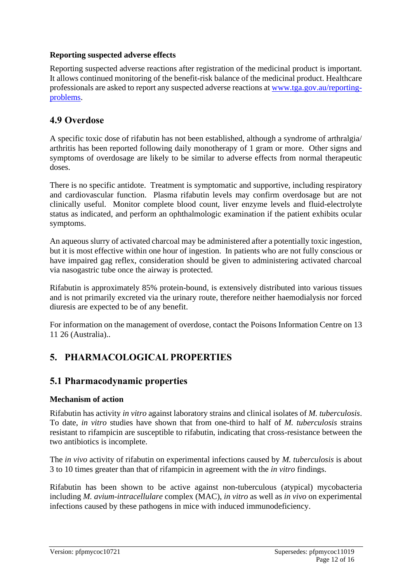#### **Reporting suspected adverse effects**

Reporting suspected adverse reactions after registration of the medicinal product is important. It allows continued monitoring of the benefit-risk balance of the medicinal product. Healthcare professionals are asked to report any suspected adverse reactions at [www.tga.gov.au/reporting](http://www.tga.gov.au/reporting-problems)[problems.](http://www.tga.gov.au/reporting-problems)

### **4.9 Overdose**

A specific toxic dose of rifabutin has not been established, although a syndrome of arthralgia/ arthritis has been reported following daily monotherapy of 1 gram or more. Other signs and symptoms of overdosage are likely to be similar to adverse effects from normal therapeutic doses.

There is no specific antidote. Treatment is symptomatic and supportive, including respiratory and cardiovascular function. Plasma rifabutin levels may confirm overdosage but are not clinically useful. Monitor complete blood count, liver enzyme levels and fluid-electrolyte status as indicated, and perform an ophthalmologic examination if the patient exhibits ocular symptoms.

An aqueous slurry of activated charcoal may be administered after a potentially toxic ingestion, but it is most effective within one hour of ingestion. In patients who are not fully conscious or have impaired gag reflex, consideration should be given to administering activated charcoal via nasogastric tube once the airway is protected.

Rifabutin is approximately 85% protein-bound, is extensively distributed into various tissues and is not primarily excreted via the urinary route, therefore neither haemodialysis nor forced diuresis are expected to be of any benefit.

For information on the management of overdose, contact the Poisons Information Centre on 13 11 26 (Australia)..

# **5. PHARMACOLOGICAL PROPERTIES**

### **5.1 Pharmacodynamic properties**

#### **Mechanism of action**

Rifabutin has activity *in vitro* against laboratory strains and clinical isolates of *M. tuberculosis*. To date, *in vitro* studies have shown that from one-third to half of *M. tuberculosis* strains resistant to rifampicin are susceptible to rifabutin, indicating that cross-resistance between the two antibiotics is incomplete.

The *in vivo* activity of rifabutin on experimental infections caused by *M. tuberculosis* is about 3 to 10 times greater than that of rifampicin in agreement with the *in vitro* findings.

Rifabutin has been shown to be active against non-tuberculous (atypical) mycobacteria including *M. avium-intracellulare* complex (MAC), *in vitro* as well as *in vivo* on experimental infections caused by these pathogens in mice with induced immunodeficiency.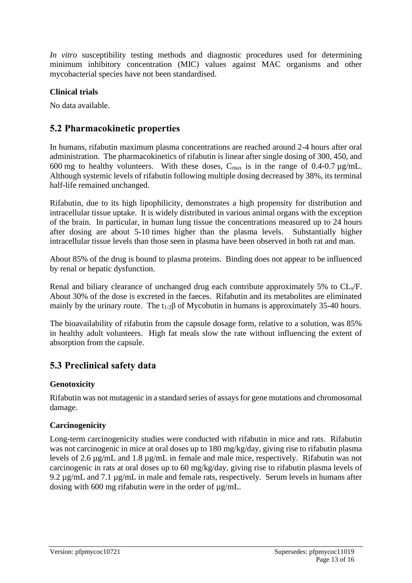*In vitro* susceptibility testing methods and diagnostic procedures used for determining minimum inhibitory concentration (MIC) values against MAC organisms and other mycobacterial species have not been standardised.

#### **Clinical trials**

No data available.

### **5.2 Pharmacokinetic properties**

In humans, rifabutin maximum plasma concentrations are reached around 2-4 hours after oral administration. The pharmacokinetics of rifabutin is linear after single dosing of 300, 450, and 600 mg to healthy volunteers. With these doses,  $C_{\text{max}}$  is in the range of 0.4-0.7  $\mu$ g/mL. Although systemic levels of rifabutin following multiple dosing decreased by 38%, its terminal half-life remained unchanged.

Rifabutin, due to its high lipophilicity, demonstrates a high propensity for distribution and intracellular tissue uptake. It is widely distributed in various animal organs with the exception of the brain. In particular, in human lung tissue the concentrations measured up to 24 hours after dosing are about 5-10 times higher than the plasma levels. Substantially higher intracellular tissue levels than those seen in plasma have been observed in both rat and man.

About 85% of the drug is bound to plasma proteins. Binding does not appear to be influenced by renal or hepatic dysfunction.

Renal and biliary clearance of unchanged drug each contribute approximately 5% to CL<sub>s</sub>/F. About 30% of the dose is excreted in the faeces. Rifabutin and its metabolites are eliminated mainly by the urinary route. The  $t_{1/2}\beta$  of Mycobutin in humans is approximately 35-40 hours.

The bioavailability of rifabutin from the capsule dosage form, relative to a solution, was 85% in healthy adult volunteers. High fat meals slow the rate without influencing the extent of absorption from the capsule.

# **5.3 Preclinical safety data**

#### **Genotoxicity**

Rifabutin was not mutagenic in a standard series of assays for gene mutations and chromosomal damage.

### **Carcinogenicity**

Long-term carcinogenicity studies were conducted with rifabutin in mice and rats. Rifabutin was not carcinogenic in mice at oral doses up to 180 mg/kg/day, giving rise to rifabutin plasma levels of 2.6 µg/mL and 1.8 µg/mL in female and male mice, respectively. Rifabutin was not carcinogenic in rats at oral doses up to 60 mg/kg/day, giving rise to rifabutin plasma levels of 9.2 µg/mL and 7.1 µg/mL in male and female rats, respectively. Serum levels in humans after dosing with 600 mg rifabutin were in the order of  $\mu$ g/mL.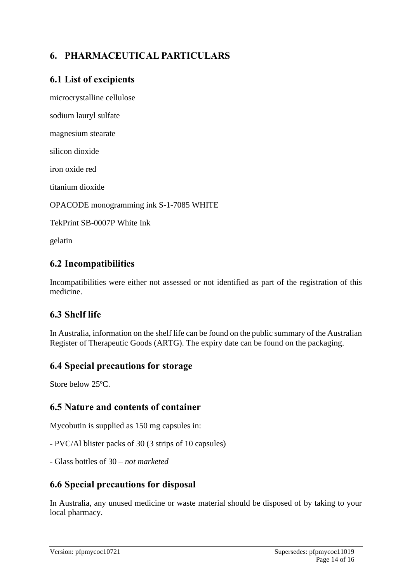# **6. PHARMACEUTICAL PARTICULARS**

### **6.1 List of excipients**

microcrystalline cellulose

sodium lauryl sulfate

magnesium stearate

silicon dioxide

iron oxide red

titanium dioxide

OPACODE monogramming ink S-1-7085 WHITE

TekPrint SB-0007P White Ink

gelatin

### **6.2 Incompatibilities**

Incompatibilities were either not assessed or not identified as part of the registration of this medicine.

# **6.3 Shelf life**

In Australia, information on the shelf life can be found on the public summary of the Australian Register of Therapeutic Goods (ARTG). The expiry date can be found on the packaging.

### **6.4 Special precautions for storage**

Store below 25ºC.

### **6.5 Nature and contents of container**

Mycobutin is supplied as 150 mg capsules in:

- PVC/Al blister packs of 30 (3 strips of 10 capsules)

- Glass bottles of 30 – *not marketed*

### **6.6 Special precautions for disposal**

In Australia, any unused medicine or waste material should be disposed of by taking to your local pharmacy.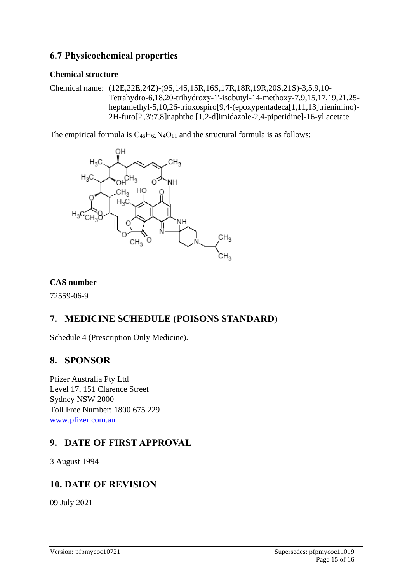### **6.7 Physicochemical properties**

#### **Chemical structure**

Chemical name: (12E,22E,24Z)-(9S,14S,15R,16S,17R,18R,19R,20S,21S)-3,5,9,10- Tetrahydro-6,18,20-trihydroxy-1'-isobutyl-14-methoxy-7,9,15,17,19,21,25 heptamethyl-5,10,26-trioxospiro[9,4-(epoxypentadeca[1,11,13]trienimino)- 2H-furo[2',3':7,8]naphtho [1,2-d]imidazole-2,4-piperidine]-16-yl acetate

The empirical formula is  $C_{46}H_{62}N_4O_{11}$  and the structural formula is as follows:



#### **CAS number**

72559-06-9

# **7. MEDICINE SCHEDULE (POISONS STANDARD)**

Schedule 4 (Prescription Only Medicine).

### **8. SPONSOR**

Pfizer Australia Pty Ltd Level 17, 151 Clarence Street Sydney NSW 2000 Toll Free Number: 1800 675 229 [www.pfizer.com.au](http://www.pfizer.com.au/)

# **9. DATE OF FIRST APPROVAL**

3 August 1994

# **10. DATE OF REVISION**

09 July 2021